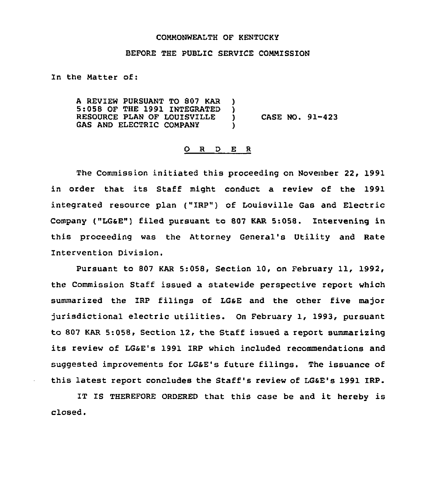## COMMONWEALTH OF KENTUCKY

## BEFORE THE PUBLIC SERVICE COMMISSION

In the Matter of:

A REVIEW PURSUANT TO 807 KAR )<br>5:058 OF THE 1991 INTEGRATED ) 5:058 OF THE 1991 INTEGRATED )<br>RESOURCE PLAN OF LOUISVILLE ) RESOURCE PLAN OF LOUISVILLE )<br>GAS AND ELECTRIC COMPANY GAS AND ELECTRIC COMPANY CASE NO. 91-423

## 0 <sup>R</sup> <sup>D</sup> E <sup>R</sup>

The Commission initiated this proceeding on November 22, 1991 in order that its Staff might conduct a review of the 1991 integrated resource plan ("IRP") of Louisville Gas and Electric Company ("LGsE") filed pursuant to 807 KAR 5:058. Intervening in this proceeding was the Attorney General's Utility and Rate Intervention Division.

Pursuant to 807 KAR 5:058, Section 10, on February 11, 1992, the Commission Staff issued a statewide perspective report which summarized the IRP filings of LGSE and the other five major jurisdictional electric utilities. On February 1, 1993, pursuant to 807 KAR 5:058, Section 12, the Staff issued a report summarizing its review of LG6E's 1991 IRP which included recommendations and suggested improvements for LGSE's future filings. The issuance of this latest report concludes the Staff's review of LGsE's 1991 IRP.

IT IS THEREFORE ORDERED that this case be and it hereby is closed.